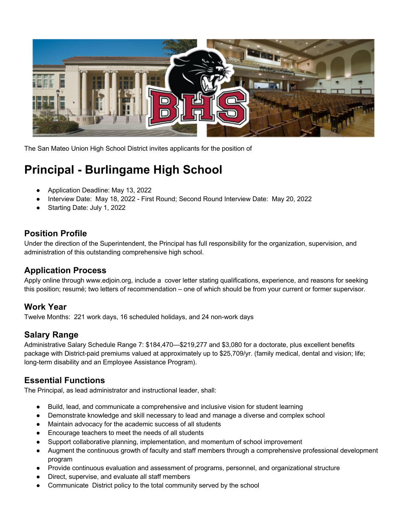

The San Mateo Union High School District invites applicants for the position of

# **Principal - Burlingame High School**

- Application Deadline: May 13, 2022
- Interview Date: May 18, 2022 First Round; Second Round Interview Date: May 20, 2022
- Starting Date: July 1, 2022

# **Position Profile**

Under the direction of the Superintendent, the Principal has full responsibility for the organization, supervision, and administration of this outstanding comprehensive high school.

# **Application Process**

Apply online through www.edjoin.org, include a cover letter stating qualifications, experience, and reasons for seeking this position; resumé; two letters of recommendation – one of which should be from your current or former supervisor.

# **Work Year**

Twelve Months: 221 work days, 16 scheduled holidays, and 24 non-work days

# **Salary Range**

Administrative Salary Schedule Range 7: \$184,470—\$219,277 and \$3,080 for a doctorate, plus excellent benefits package with District-paid premiums valued at approximately up to \$25,709/yr. (family medical, dental and vision; life; long-term disability and an Employee Assistance Program).

# **Essential Functions**

The Principal, as lead administrator and instructional leader, shall:

- Build, lead, and communicate a comprehensive and inclusive vision for student learning
- Demonstrate knowledge and skill necessary to lead and manage a diverse and complex school
- Maintain advocacy for the academic success of all students
- Encourage teachers to meet the needs of all students
- Support collaborative planning, implementation, and momentum of school improvement
- Augment the continuous growth of faculty and staff members through a comprehensive professional development program
- Provide continuous evaluation and assessment of programs, personnel, and organizational structure
- Direct, supervise, and evaluate all staff members
- Communicate District policy to the total community served by the school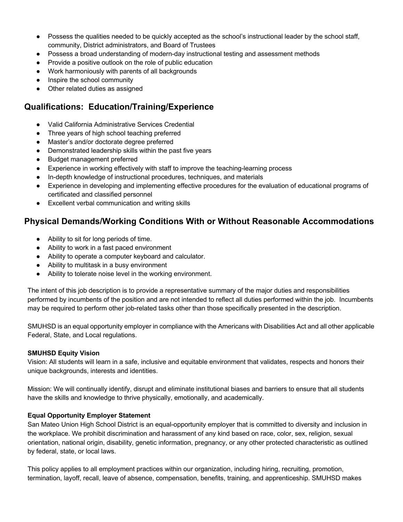- Possess the qualities needed to be quickly accepted as the school's instructional leader by the school staff, community, District administrators, and Board of Trustees
- Possess a broad understanding of modern-day instructional testing and assessment methods
- Provide a positive outlook on the role of public education
- Work harmoniously with parents of all backgrounds
- Inspire the school community
- Other related duties as assigned

# **Qualifications: Education/Training/Experience**

- Valid California Administrative Services Credential
- Three years of high school teaching preferred
- Master's and/or doctorate degree preferred
- Demonstrated leadership skills within the past five years
- Budget management preferred
- Experience in working effectively with staff to improve the teaching-learning process
- In-depth knowledge of instructional procedures, techniques, and materials
- Experience in developing and implementing effective procedures for the evaluation of educational programs of certificated and classified personnel
- Excellent verbal communication and writing skills

# **Physical Demands/Working Conditions With or Without Reasonable Accommodations**

- Ability to sit for long periods of time.
- Ability to work in a fast paced environment
- Ability to operate a computer keyboard and calculator.
- Ability to multitask in a busy environment
- Ability to tolerate noise level in the working environment.

The intent of this job description is to provide a representative summary of the major duties and responsibilities performed by incumbents of the position and are not intended to reflect all duties performed within the job. Incumbents may be required to perform other job-related tasks other than those specifically presented in the description.

SMUHSD is an equal opportunity employer in compliance with the Americans with Disabilities Act and all other applicable Federal, State, and Local regulations.

### **SMUHSD Equity Vision**

Vision: All students will learn in a safe, inclusive and equitable environment that validates, respects and honors their unique backgrounds, interests and identities.

Mission: We will continually identify, disrupt and eliminate institutional biases and barriers to ensure that all students have the skills and knowledge to thrive physically, emotionally, and academically.

### **Equal Opportunity Employer Statement**

San Mateo Union High School District is an equal-opportunity employer that is committed to diversity and inclusion in the workplace. We prohibit discrimination and harassment of any kind based on race, color, sex, religion, sexual orientation, national origin, disability, genetic information, pregnancy, or any other protected characteristic as outlined by federal, state, or local laws.

This policy applies to all employment practices within our organization, including hiring, recruiting, promotion, termination, layoff, recall, leave of absence, compensation, benefits, training, and apprenticeship. SMUHSD makes